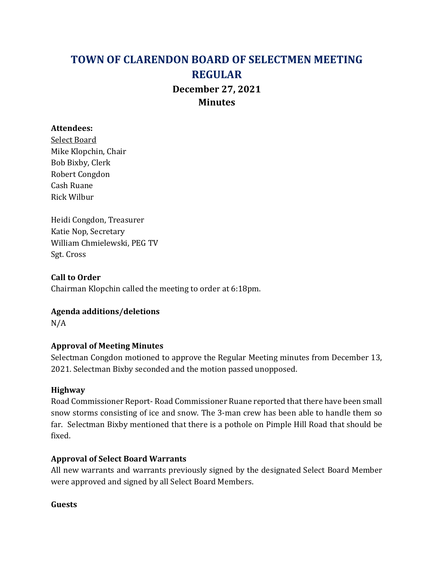# TOWN OF CLARENDON BOARD OF SELECTMEN MEETING REGULAR December 27, 2021 **Minutes**

#### Attendees:

Select Board Mike Klopchin, Chair Bob Bixby, Clerk Robert Congdon Cash Ruane Rick Wilbur

Heidi Congdon, Treasurer Katie Nop, Secretary William Chmielewski, PEG TV Sgt. Cross

Call to Order Chairman Klopchin called the meeting to order at 6:18pm.

## Agenda additions/deletions

N/A

## Approval of Meeting Minutes

Selectman Congdon motioned to approve the Regular Meeting minutes from December 13, 2021. Selectman Bixby seconded and the motion passed unopposed.

## Highway

Road Commissioner Report- Road Commissioner Ruane reported that there have been small snow storms consisting of ice and snow. The 3-man crew has been able to handle them so far. Selectman Bixby mentioned that there is a pothole on Pimple Hill Road that should be fixed.

## Approval of Select Board Warrants

All new warrants and warrants previously signed by the designated Select Board Member were approved and signed by all Select Board Members.

## Guests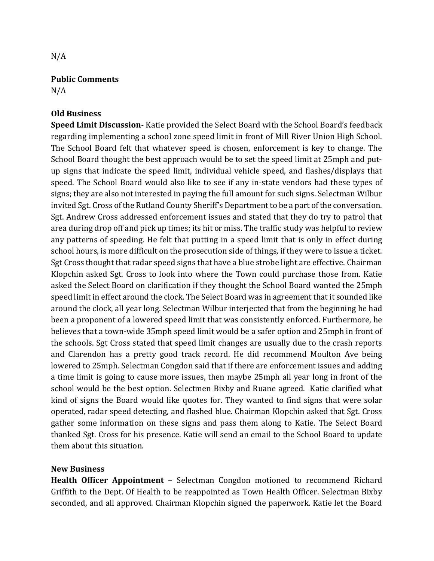## Public Comments

 $N/A$ 

## Old Business

Speed Limit Discussion- Katie provided the Select Board with the School Board's feedback regarding implementing a school zone speed limit in front of Mill River Union High School. The School Board felt that whatever speed is chosen, enforcement is key to change. The School Board thought the best approach would be to set the speed limit at 25mph and putup signs that indicate the speed limit, individual vehicle speed, and flashes/displays that speed. The School Board would also like to see if any in-state vendors had these types of signs; they are also not interested in paying the full amount for such signs. Selectman Wilbur invited Sgt. Cross of the Rutland County Sheriff's Department to be a part of the conversation. Sgt. Andrew Cross addressed enforcement issues and stated that they do try to patrol that area during drop off and pick up times; its hit or miss. The traffic study was helpful to review any patterns of speeding. He felt that putting in a speed limit that is only in effect during school hours, is more difficult on the prosecution side of things, if they were to issue a ticket. Sgt Cross thought that radar speed signs that have a blue strobe light are effective. Chairman Klopchin asked Sgt. Cross to look into where the Town could purchase those from. Katie asked the Select Board on clarification if they thought the School Board wanted the 25mph speed limit in effect around the clock. The Select Board was in agreement that it sounded like around the clock, all year long. Selectman Wilbur interjected that from the beginning he had been a proponent of a lowered speed limit that was consistently enforced. Furthermore, he believes that a town-wide 35mph speed limit would be a safer option and 25mph in front of the schools. Sgt Cross stated that speed limit changes are usually due to the crash reports and Clarendon has a pretty good track record. He did recommend Moulton Ave being lowered to 25mph. Selectman Congdon said that if there are enforcement issues and adding a time limit is going to cause more issues, then maybe 25mph all year long in front of the school would be the best option. Selectmen Bixby and Ruane agreed. Katie clarified what kind of signs the Board would like quotes for. They wanted to find signs that were solar operated, radar speed detecting, and flashed blue. Chairman Klopchin asked that Sgt. Cross gather some information on these signs and pass them along to Katie. The Select Board thanked Sgt. Cross for his presence. Katie will send an email to the School Board to update them about this situation.

## New Business

Health Officer Appointment – Selectman Congdon motioned to recommend Richard Griffith to the Dept. Of Health to be reappointed as Town Health Officer. Selectman Bixby seconded, and all approved. Chairman Klopchin signed the paperwork. Katie let the Board

 $N/A$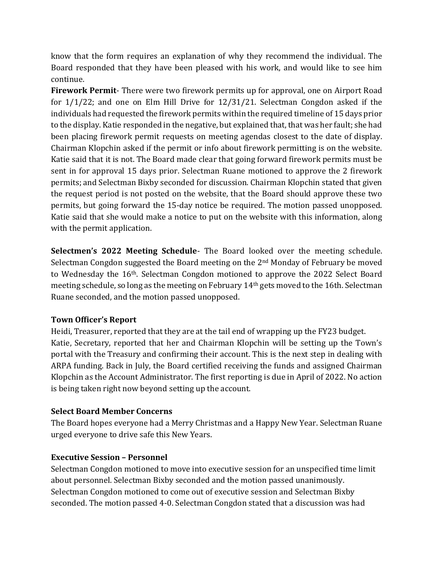know that the form requires an explanation of why they recommend the individual. The Board responded that they have been pleased with his work, and would like to see him continue.

Firework Permit- There were two firework permits up for approval, one on Airport Road for 1/1/22; and one on Elm Hill Drive for 12/31/21. Selectman Congdon asked if the individuals had requested the firework permits within the required timeline of 15 days prior to the display. Katie responded in the negative, but explained that, that was her fault; she had been placing firework permit requests on meeting agendas closest to the date of display. Chairman Klopchin asked if the permit or info about firework permitting is on the website. Katie said that it is not. The Board made clear that going forward firework permits must be sent in for approval 15 days prior. Selectman Ruane motioned to approve the 2 firework permits; and Selectman Bixby seconded for discussion. Chairman Klopchin stated that given the request period is not posted on the website, that the Board should approve these two permits, but going forward the 15-day notice be required. The motion passed unopposed. Katie said that she would make a notice to put on the website with this information, along with the permit application.

Selectmen's 2022 Meeting Schedule- The Board looked over the meeting schedule. Selectman Congdon suggested the Board meeting on the 2nd Monday of February be moved to Wednesday the 16th. Selectman Congdon motioned to approve the 2022 Select Board meeting schedule, so long as the meeting on February 14th gets moved to the 16th. Selectman Ruane seconded, and the motion passed unopposed.

## Town Officer's Report

Heidi, Treasurer, reported that they are at the tail end of wrapping up the FY23 budget. Katie, Secretary, reported that her and Chairman Klopchin will be setting up the Town's portal with the Treasury and confirming their account. This is the next step in dealing with ARPA funding. Back in July, the Board certified receiving the funds and assigned Chairman Klopchin as the Account Administrator. The first reporting is due in April of 2022. No action is being taken right now beyond setting up the account.

## Select Board Member Concerns

The Board hopes everyone had a Merry Christmas and a Happy New Year. Selectman Ruane urged everyone to drive safe this New Years.

## Executive Session – Personnel

Selectman Congdon motioned to move into executive session for an unspecified time limit about personnel. Selectman Bixby seconded and the motion passed unanimously. Selectman Congdon motioned to come out of executive session and Selectman Bixby seconded. The motion passed 4-0. Selectman Congdon stated that a discussion was had